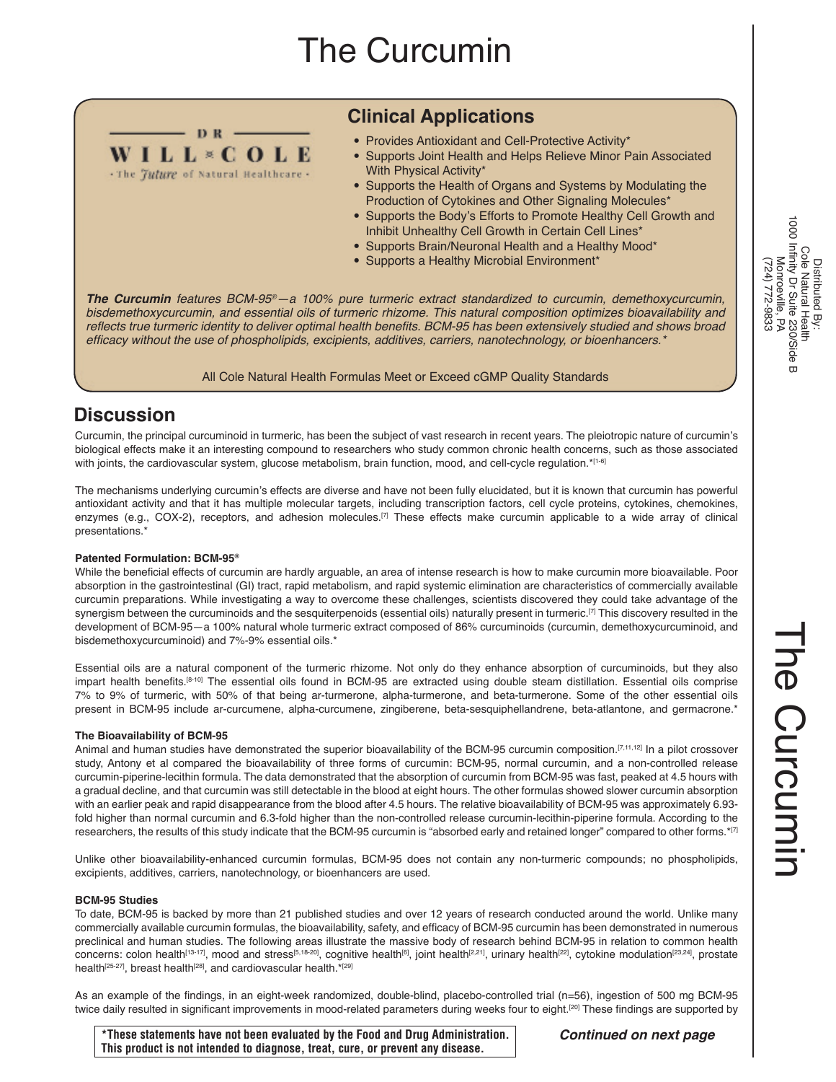# The Curcumin

# **Clinical Applications**

- Provides Antioxidant and Cell-Protective Activity\*
- Supports Joint Health and Helps Relieve Minor Pain Associated With Physical Activity\*
- Supports the Health of Organs and Systems by Modulating the Production of Cytokines and Other Signaling Molecules\*
- Supports the Body's Efforts to Promote Healthy Cell Growth and Inhibit Unhealthy Cell Growth in Certain Cell Lines\*
- Supports Brain/Neuronal Health and a Healthy Mood\*
- Supports a Healthy Microbial Environment\*

*The Curcumin features BCM-95®—a 100% pure turmeric extract standardized to curcumin, demethoxycurcumin, bisdemethoxycurcumin, and essential oils of turmeric rhizome. This natural composition optimizes bioavailability and*  reflects true turmeric identity to deliver optimal health benefits. BCM-95 has been extensively studied and shows broad efficacy without the use of phospholipids, excipients, additives, carriers, nanotechnology, or bioenhancers.\*

All Cole Natural Health Formulas Meet or Exceed cGMP Quality Standards

# **Discussion**

Curcumin, the principal curcuminoid in turmeric, has been the subject of vast research in recent years. The pleiotropic nature of curcumin's biological effects make it an interesting compound to researchers who study common chronic health concerns, such as those associated with joints, the cardiovascular system, glucose metabolism, brain function, mood, and cell-cycle regulation.\*[1-6]

The mechanisms underlying curcumin's effects are diverse and have not been fully elucidated, but it is known that curcumin has powerful antioxidant activity and that it has multiple molecular targets, including transcription factors, cell cycle proteins, cytokines, chemokines, enzymes (e.g., COX-2), receptors, and adhesion molecules.<sup>[7]</sup> These effects make curcumin applicable to a wide array of clinical presentations.\*

#### **Patented Formulation: BCM-95®**

 $-$  DR  $-$ **WILL\*COLE** . The Juture of Natural Healthcare -

While the beneficial effects of curcumin are hardly arguable, an area of intense research is how to make curcumin more bioavailable. Poor absorption in the gastrointestinal (GI) tract, rapid metabolism, and rapid systemic elimination are characteristics of commercially available curcumin preparations. While investigating a way to overcome these challenges, scientists discovered they could take advantage of the synergism between the curcuminoids and the sesquiterpenoids (essential oils) naturally present in turmeric.<sup>[7]</sup> This discovery resulted in the development of BCM-95—a 100% natural whole turmeric extract composed of 86% curcuminoids (curcumin, demethoxycurcuminoid, and bisdemethoxycurcuminoid) and 7%-9% essential oils.\*

Essential oils are a natural component of the turmeric rhizome. Not only do they enhance absorption of curcuminoids, but they also impart health benefits.[8-10] The essential oils found in BCM-95 are extracted using double steam distillation. Essential oils comprise 7% to 9% of turmeric, with 50% of that being ar-turmerone, alpha-turmerone, and beta-turmerone. Some of the other essential oils present in BCM-95 include ar-curcumene, alpha-curcumene, zingiberene, beta-sesquiphellandrene, beta-atlantone, and germacrone.\*

#### **The Bioavailability of BCM-95**

Animal and human studies have demonstrated the superior bioavailability of the BCM-95 curcumin composition.<sup>[7,11,12]</sup> In a pilot crossover study, Antony et al compared the bioavailability of three forms of curcumin: BCM-95, normal curcumin, and a non-controlled release curcumin-piperine-lecithin formula. The data demonstrated that the absorption of curcumin from BCM-95 was fast, peaked at 4.5 hours with a gradual decline, and that curcumin was still detectable in the blood at eight hours. The other formulas showed slower curcumin absorption with an earlier peak and rapid disappearance from the blood after 4.5 hours. The relative bioavailability of BCM-95 was approximately 6.93 fold higher than normal curcumin and 6.3-fold higher than the non-controlled release curcumin-lecithin-piperine formula. According to the researchers, the results of this study indicate that the BCM-95 curcumin is "absorbed early and retained longer" compared to other forms.\*[7]

Unlike other bioavailability-enhanced curcumin formulas, BCM-95 does not contain any non-turmeric compounds; no phospholipids, excipients, additives, carriers, nanotechnology, or bioenhancers are used.

#### **BCM-95 Studies**

To date, BCM-95 is backed by more than 21 published studies and over 12 years of research conducted around the world. Unlike many commercially available curcumin formulas, the bioavailability, safety, and efficacy of BCM-95 curcumin has been demonstrated in numerous preclinical and human studies. The following areas illustrate the massive body of research behind BCM-95 in relation to common health concerns: colon health<sup>[13-17]</sup>, mood and stress<sup>[5,18-20]</sup>, cognitive health<sup>[6]</sup>, joint health<sup>[2,21</sup>], urinary health<sup>[22]</sup>, cytokine modulation<sup>[23,24]</sup>, prostate health<sup>[25-27]</sup>, breast health<sup>[28]</sup>, and cardiovascular health.\*<sup>[29]</sup>

As an example of the findings, in an eight-week randomized, double-blind, placebo-controlled trial (n=56), ingestion of 500 mg BCM-95 twice daily resulted in significant improvements in mood-related parameters during weeks four to eight.[20] These findings are supported by

**\*These statements have not been evaluated by the Food and Drug Administration. This product is not intended to diagnose, treat, cure, or prevent any disease.** 

The Curcumin

he Curcumin